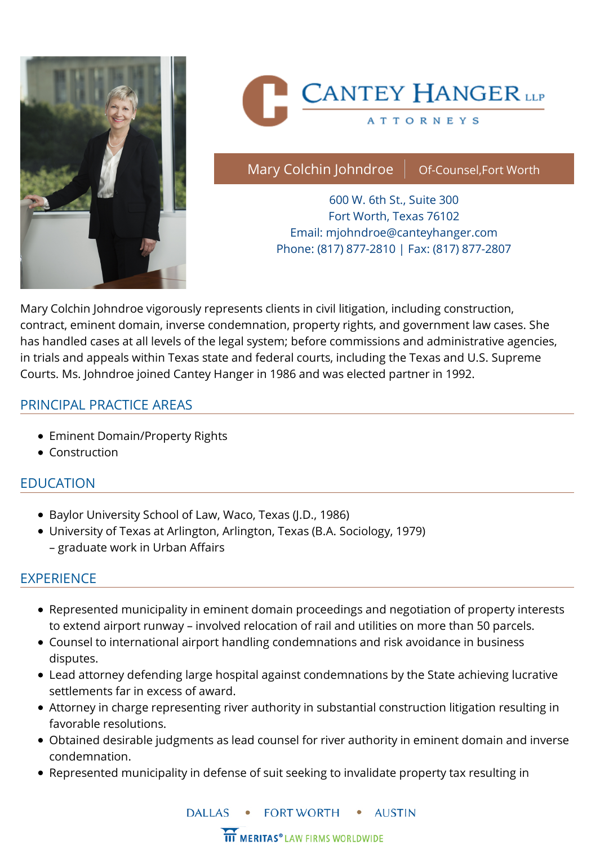

# **CANTEY HANGER** LLP

**ATTORNEYS** 

Mary Colchin Johndroe  $\parallel$  Of-Counsel, Fort Worth

600 W. 6th St., Suite 300 Fort Worth, Texas 76102 Email: [mjohndroe@canteyhanger.com](mailto:mjohndroe@canteyhanger.com) Phone: (817) 877-2810 | Fax: (817) 877-2807

Mary Colchin Johndroe vigorously represents clients in civil litigation, including construction, contract, eminent domain, inverse condemnation, property rights, and government law cases. She has handled cases at all levels of the legal system; before commissions and administrative agencies, in trials and appeals within Texas state and federal courts, including the Texas and U.S. Supreme Courts. Ms. Johndroe joined Cantey Hanger in 1986 and was elected partner in 1992.

#### PRINCIPAL PRACTICE AREAS

- [Eminent Domain/Property Rights](https://canteyhanger.com/practice_area/eminent-domainproperty-rights/)
- [Construction](https://canteyhanger.com/practice_area/construction/)

#### EDUCATION

- Baylor University School of Law, Waco, Texas (J.D., 1986)
- University of Texas at Arlington, Arlington, Texas (B.A. Sociology, 1979) – graduate work in Urban Affairs

#### EXPERIENCE

- Represented municipality in eminent domain proceedings and negotiation of property interests to extend airport runway – involved relocation of rail and utilities on more than 50 parcels.
- Counsel to international airport handling condemnations and risk avoidance in business disputes.
- Lead attorney defending large hospital against condemnations by the State achieving lucrative settlements far in excess of award.
- Attorney in charge representing river authority in substantial construction litigation resulting in favorable resolutions.
- Obtained desirable judgments as lead counsel for river authority in eminent domain and inverse condemnation.
- Represented municipality in defense of suit seeking to invalidate property tax resulting in

**DALLAS FORT WORTH AUSTIN** 

**III MERITAS®** LAW FIRMS WORLDWIDE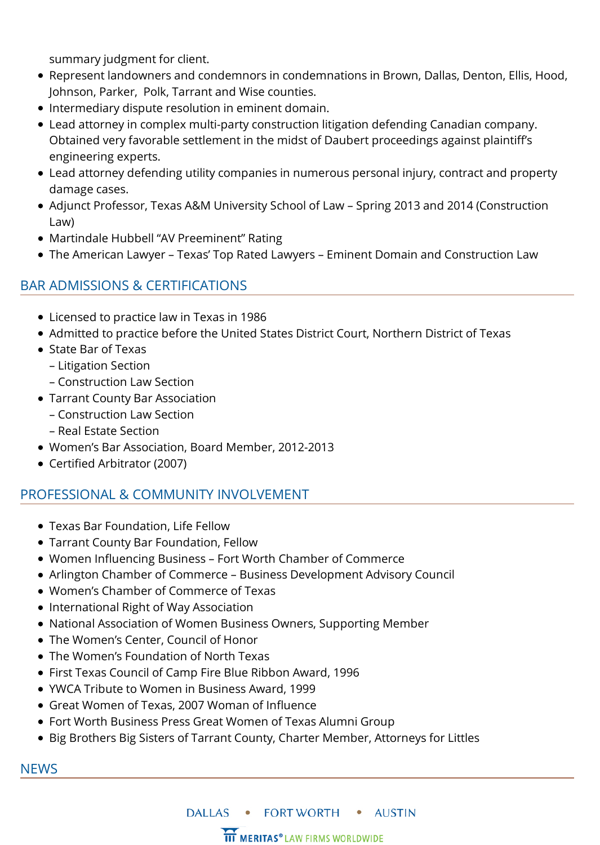summary judgment for client.

- Represent landowners and condemnors in condemnations in Brown, Dallas, Denton, Ellis, Hood, Johnson, Parker, Polk, Tarrant and Wise counties.
- $\bullet$  Intermediary dispute resolution in eminent domain.
- Lead attorney in complex multi-party construction litigation defending Canadian company. Obtained very favorable settlement in the midst of Daubert proceedings against plaintiff's engineering experts.
- Lead attorney defending utility companies in numerous personal injury, contract and property damage cases.
- Adjunct Professor, Texas A&M University School of Law Spring 2013 and 2014 (Construction Law)
- Martindale Hubbell "AV Preeminent" Rating
- The American Lawyer Texas' Top Rated Lawyers Eminent Domain and Construction Law

### BAR ADMISSIONS & CERTIFICATIONS

- Licensed to practice law in Texas in 1986
- Admitted to practice before the United States District Court, Northern District of Texas
- State Bar of Texas
	- Litigation Section
	- Construction Law Section
- Tarrant County Bar Association
	- Construction Law Section
	- Real Estate Section
- Women's Bar Association, Board Member, 2012-2013
- Certified Arbitrator (2007)

#### PROFESSIONAL & COMMUNITY INVOLVEMENT

- Texas Bar Foundation, Life Fellow
- Tarrant County Bar Foundation, Fellow
- Women Influencing Business Fort Worth Chamber of Commerce
- Arlington Chamber of Commerce Business Development Advisory Council
- Women's Chamber of Commerce of Texas
- International Right of Way Association
- National Association of Women Business Owners, Supporting Member
- The Women's Center, Council of Honor
- The Women's Foundation of North Texas
- First Texas Council of Camp Fire Blue Ribbon Award, 1996
- YWCA Tribute to Women in Business Award, 1999
- Great Women of Texas, 2007 Woman of Influence
- Fort Worth Business Press Great Women of Texas Alumni Group
- Big Brothers Big Sisters of Tarrant County, Charter Member, Attorneys for Littles

#### NEWS



**III MERITAS®** LAW FIRMS WORLDWIDE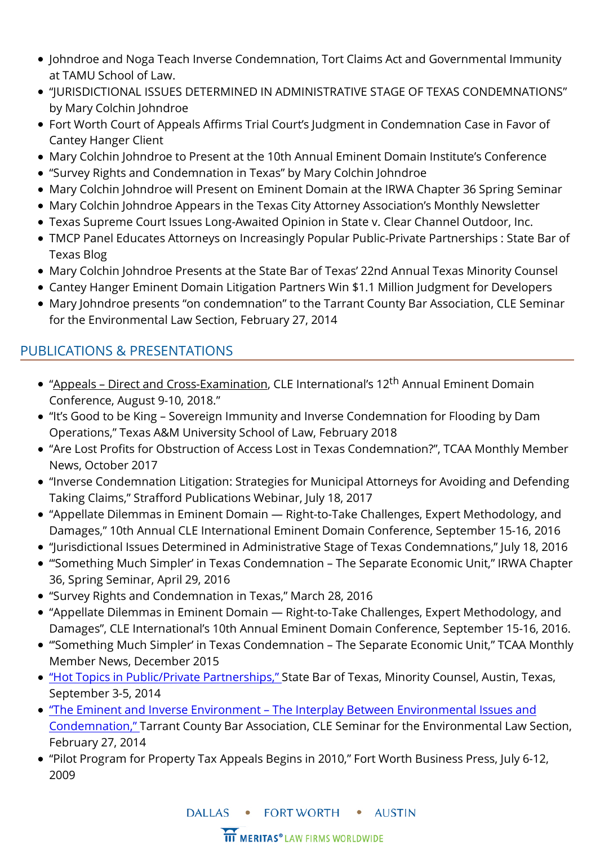- [Johndroe and Noga Teach Inverse Condemnation, Tort Claims Act and Governmental Immunity](https://canteyhanger.com/news/johndroe-noga-teach-inverse-condemnation-tort-claims-act-governmental-immunity-tamu-school-law/) at TAMU School of Law.
- ["JURISDICTIONAL ISSUES DETERMINED IN ADMINISTRATIVE STAGE OF TEXAS CONDEMNATIONS"](https://canteyhanger.com/news/jurisdictional-issues-determined-in-administrative-stage-of-texas-condemnations-by-mary-colton-johndroe/) by Mary Colchin Johndroe
- [Fort Worth Court of Appeals Affirms Trial Court's Judgment in Condemnation Case in Favor of](https://canteyhanger.com/news/fort-worth-court-of-appeals-affirms-trial-courts-judgment-in-condemnation-case-in-favor-of-cantey-hanger-client/) Cantey Hanger Client
- [Mary Colchin Johndroe to Present at the 10th Annual Eminent Domain Institute's Conference](https://canteyhanger.com/news/mary-colchin-johndroe-to-present-at-the-10th-annual-eminent-domain-institutes-conference/)
- ["Survey Rights and Condemnation in Texas" by Mary Colchin Johndroe](https://canteyhanger.com/news/survey-rights-and-condemnation-in-texas-by-mary-colchin-johndroe/)
- [Mary Colchin Johndroe will Present on Eminent Domain at the IRWA Chapter 36 Spring Seminar](https://canteyhanger.com/news/mary-colchin-johndroe-will-present-at-the-irwa-chapter-36-spring-seminar/)
- [Mary Colchin Johndroe Appears in the Texas City Attorney Association's Monthly Newsletter](https://canteyhanger.com/news/mary-colchin-johndroe-appears-in-the-texas-city-attorney-associations-monthly-newsletter/)
- [Texas Supreme Court Issues Long-Awaited Opinion in State v. Clear Channel Outdoor, Inc.](https://canteyhanger.com/news/texas-supreme-court-gets-clear/)
- [TMCP Panel Educates Attorneys on Increasingly Popular Public-Private Partnerships : State Bar of](https://canteyhanger.com/news/tmcp-panel-educates-attorneys-increasingly-popular-public-private-partnerships-state-bar-texas-blog/) Texas Blog
- [Mary Colchin Johndroe Presents at the State Bar of Texas' 22nd Annual Texas Minority Counsel](https://canteyhanger.com/news/mary-colchin-johndroe-speaks-state-bar-texas/)
- [Cantey Hanger Eminent Domain Litigation Partners Win \\$1.1 Million Judgment for Developers](https://canteyhanger.com/news/cantey-hanger-eminent-domain-litigation-partners-win-1-1-million-judgment-developers/)
- [Mary Johndroe presents "on condemnation" to the Tarrant County Bar Association, CLE Seminar](https://canteyhanger.com/news/mary-johndroe-presents-condemnation-tarrant-county-bar-association-cle-seminar-environmental-law-section-february-27-2014/) for the Environmental Law Section, February 27, 2014

## PUBLICATIONS & PRESENTATIONS

- "Appeals Direct and Cross-Examination, CLE International's 12<sup>th</sup> Annual Eminent Domain Conference, August 9-10, 2018."
- "It's Good to be King Sovereign Immunity and Inverse Condemnation for Flooding by Dam Operations," Texas A&M University School of Law, February 2018
- "Are Lost Profits for Obstruction of Access Lost in Texas Condemnation?", TCAA Monthly Member News, October 2017
- "Inverse Condemnation Litigation: Strategies for Municipal Attorneys for Avoiding and Defending Taking Claims," Strafford Publications Webinar, July 18, 2017
- "Appellate Dilemmas in Eminent Domain Right-to-Take Challenges, Expert Methodology, and Damages," 10th Annual CLE International Eminent Domain Conference, September 15-16, 2016
- "Jurisdictional Issues Determined in Administrative Stage of Texas Condemnations," July 18, 2016
- "'Something Much Simpler' in Texas Condemnation The Separate Economic Unit," IRWA Chapter 36, Spring Seminar, April 29, 2016
- "Survey Rights and Condemnation in Texas," March 28, 2016
- "Appellate Dilemmas in Eminent Domain Right-to-Take Challenges, Expert Methodology, and Damages", CLE International's 10th Annual Eminent Domain Conference, September 15-16, 2016.
- "'Something Much Simpler' in Texas Condemnation The Separate Economic Unit," TCAA Monthly Member News, December 2015
- ["Hot Topics in Public/Private Partnerships," S](http://canteyhanger.com/news/mary-colchin-johndroe-speaks-state-bar-texas/)tate Bar of Texas, Minority Counsel, Austin, Texas, September 3-5, 2014
- "The Eminent and Inverse Environment The Interplay Between Environmental Issues and [Condemnation," Tarrant County Bar Association, CLE Seminar for the Environmental Law Se](http://canteyhanger.com/news/mary-johndroe-presents-condemnation-tarrant-county-bar-association-cle-seminar-environmental-law-section-february-27-2014/)ction, February 27, 2014
- "Pilot Program for Property Tax Appeals Begins in 2010," Fort Worth Business Press, July 6-12, 2009